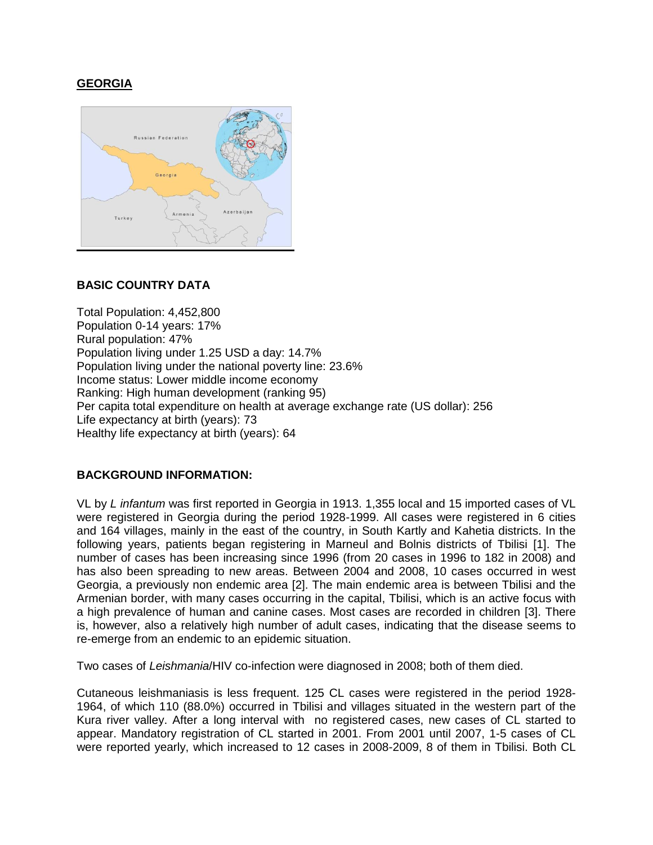# **GEORGIA**



## **BASIC COUNTRY DATA**

Total Population: 4,452,800 Population 0-14 years: 17% Rural population: 47% Population living under 1.25 USD a day: 14.7% Population living under the national poverty line: 23.6% Income status: Lower middle income economy Ranking: High human development (ranking 95) Per capita total expenditure on health at average exchange rate (US dollar): 256 Life expectancy at birth (years): 73 Healthy life expectancy at birth (years): 64

### **BACKGROUND INFORMATION:**

VL by *L infantum* was first reported in Georgia in 1913. 1,355 local and 15 imported cases of VL were registered in Georgia during the period 1928-1999. All cases were registered in 6 cities and 164 villages, mainly in the east of the country, in South Kartly and Kahetia districts. In the following years, patients began registering in Marneul and Bolnis districts of Tbilisi [1]. The number of cases has been increasing since 1996 (from 20 cases in 1996 to 182 in 2008) and has also been spreading to new areas. Between 2004 and 2008, 10 cases occurred in west Georgia, a previously non endemic area [2]. The main endemic area is between Tbilisi and the Armenian border, with many cases occurring in the capital, Tbilisi, which is an active focus with a high prevalence of human and canine cases. Most cases are recorded in children [3]. There is, however, also a relatively high number of adult cases, indicating that the disease seems to re-emerge from an endemic to an epidemic situation.

Two cases of *Leishmania*/HIV co-infection were diagnosed in 2008; both of them died.

Cutaneous leishmaniasis is less frequent. 125 CL cases were registered in the period 1928- 1964, of which 110 (88.0%) occurred in Tbilisi and villages situated in the western part of the Kura river valley. After a long interval with no registered cases, new cases of CL started to appear. Mandatory registration of CL started in 2001. From 2001 until 2007, 1-5 cases of CL were reported yearly, which increased to 12 cases in 2008-2009, 8 of them in Tbilisi. Both CL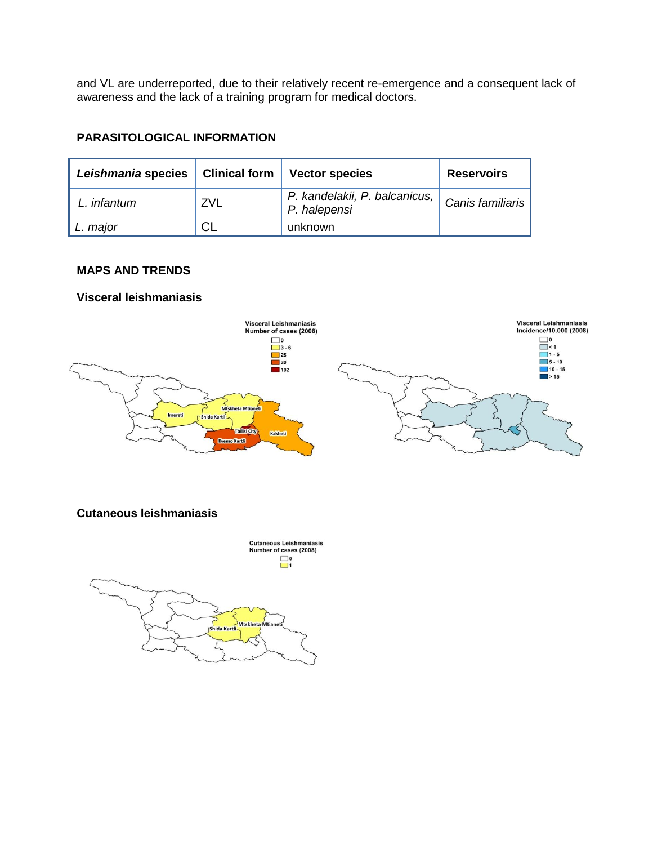and VL are underreported, due to their relatively recent re-emergence and a consequent lack of awareness and the lack of a training program for medical doctors.

## **PARASITOLOGICAL INFORMATION**

| Leishmania species | <b>Clinical form</b> | <b>Vector species</b>                         | <b>Reservoirs</b>  |
|--------------------|----------------------|-----------------------------------------------|--------------------|
| infantum           | ZVL                  | P. kandelakii, P. balcanicus,<br>P. halepensi | Canis familiaris ' |
| L. major           | СL                   | unknown                                       |                    |

## **MAPS AND TRENDS**

### **Visceral leishmaniasis**



### **Cutaneous leishmaniasis**

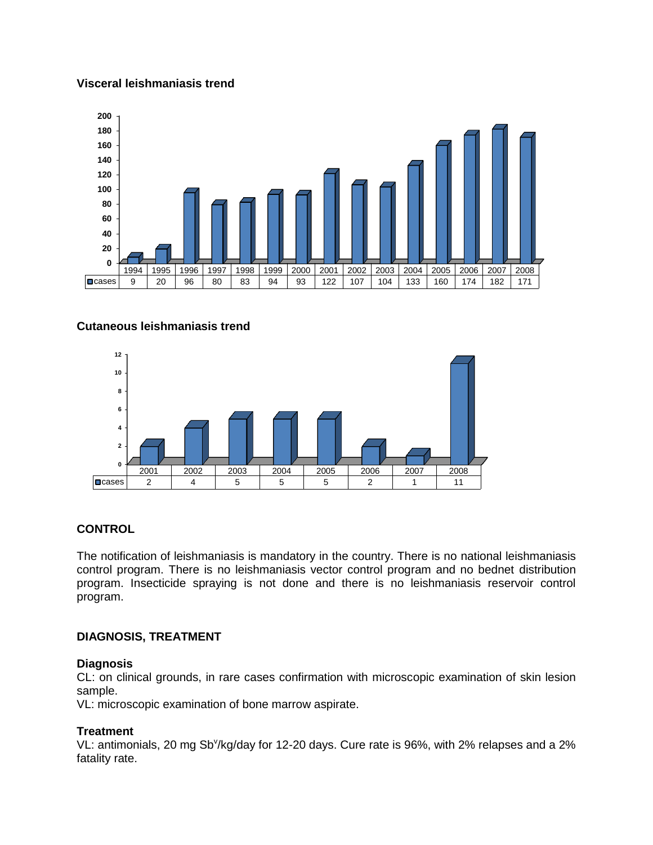### **Visceral leishmaniasis trend**



### **Cutaneous leishmaniasis trend**



### **CONTROL**

The notification of leishmaniasis is mandatory in the country. There is no national leishmaniasis control program. There is no leishmaniasis vector control program and no bednet distribution program. Insecticide spraying is not done and there is no leishmaniasis reservoir control program.

### **DIAGNOSIS, TREATMENT**

#### **Diagnosis**

CL: on clinical grounds, in rare cases confirmation with microscopic examination of skin lesion sample.

VL: microscopic examination of bone marrow aspirate.

### **Treatment**

VL: antimonials, 20 mg Sb<sup>v</sup>/kg/day for 12-20 days. Cure rate is 96%, with 2% relapses and a 2% fatality rate.